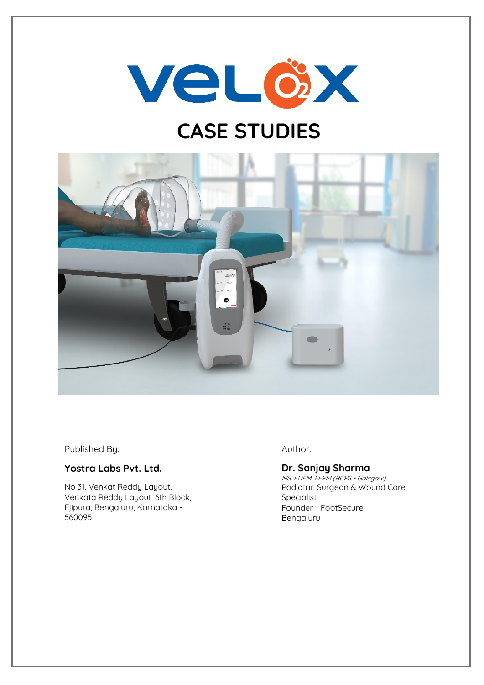

# **CASE STUDIES**



Published By:

#### **Yostra Labs Pvt. Ltd.**

No 31, Venkat Reddy Layout, Venkata Reddy Layout, 6th Block, Ejipura, Bengaluru, Karnataka - 560095

Author: Author:

### **Dr. Sanjay Sharma Dr. Sanjay Sharma**

MS, FDFM, FFPM(RCPS-Galsgow) MS, FDFM, FFPM (RCPS - Galsgow) Specialist | Wound Care Specialist | Wound Care Specialist | Wound Care Specialist | Wound Care Specialist | W Founder - FootSecure Podiatric Surgeon & Wound Care Bengaluru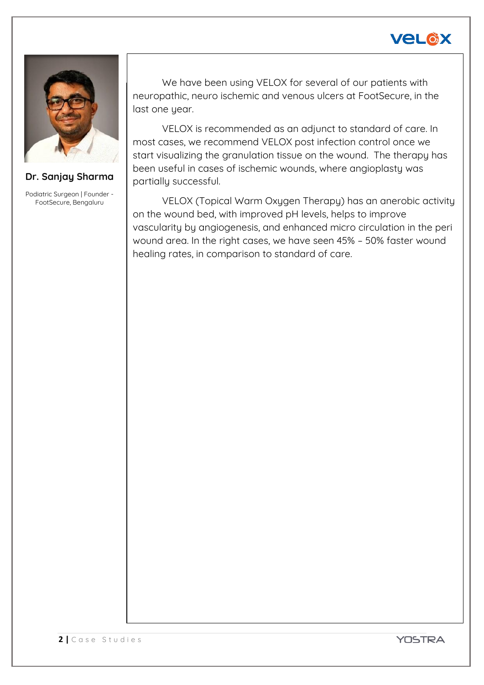



#### **Dr. Sanjay Sharma**

Podiatric Surgeon | Founder - FootSecure, Bengaluru

We have been using VELOX for several of our patients with neuropathic, neuro ischemic and venous ulcers at FootSecure, in the last one year.

VELOX is recommended as an adjunct to standard of care. In most cases, we recommend VELOX post infection control once we start visualizing the granulation tissue on the wound. The therapy has been useful in cases of ischemic wounds, where angioplasty was partially successful.

VELOX (Topical Warm Oxygen Therapy) has an anerobic activity on the wound bed, with improved pH levels, helps to improve vascularity by angiogenesis, and enhanced micro circulation in the peri wound area. In the right cases, we have seen 45% – 50% faster wound healing rates, in comparison to standard of care.

**YOSTRA**